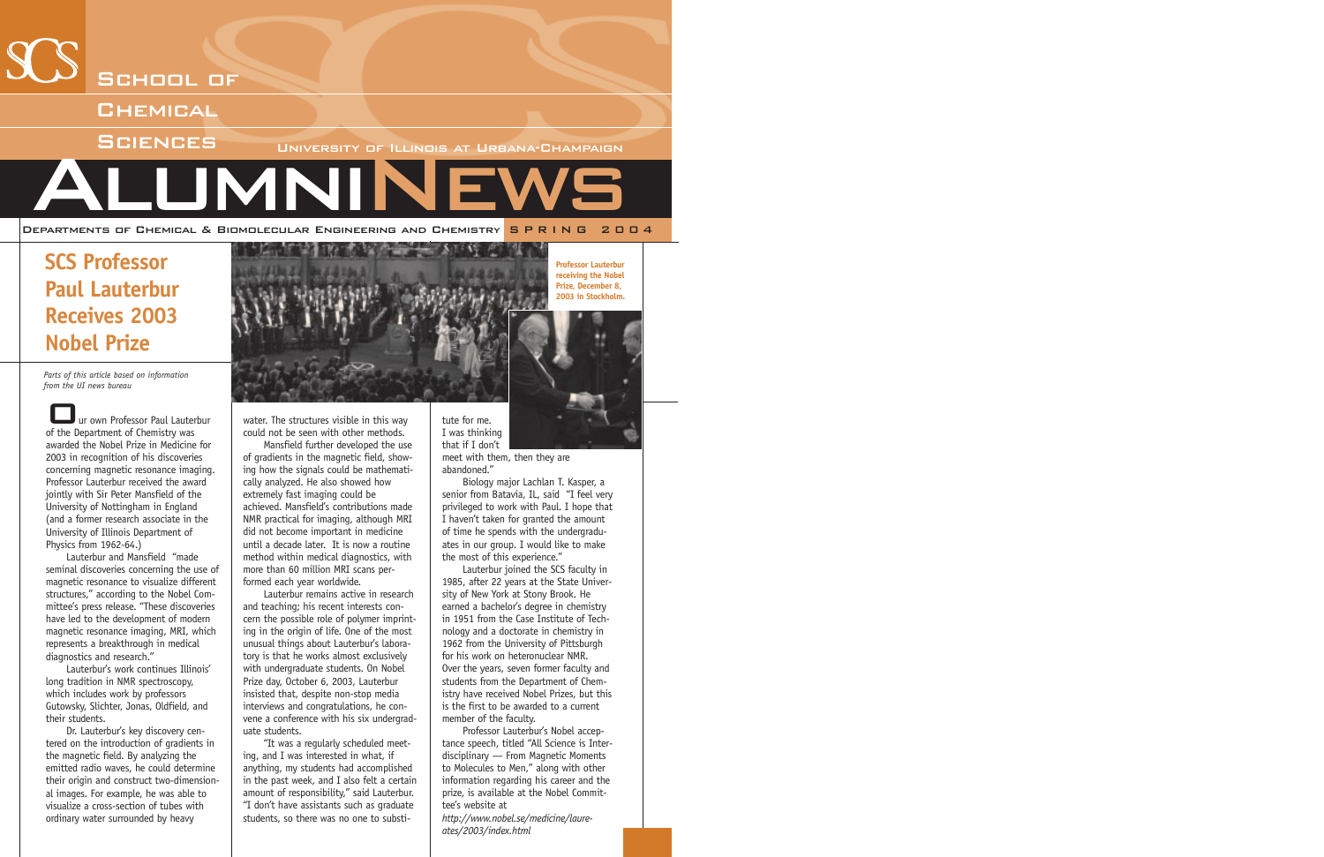

# **SCS Professor Paul Lauterbur Receives 2003 Nobel Prize**

*Parts of this article based on information from the UI news bureau*

ur own Professor Paul Lauterbur of the Department of Chemistry was awarded the Nobel Prize in Medicine for 2003 in recognition of his discoveries concerning magnetic resonance imaging. Professor Lauterbur received the award jointly with Sir Peter Mansfield of the University of Nottingham in England (and a former research associate in the University of Illinois Department of Physics from 1962-64.)

Lauterbur and Mansfield "made seminal discoveries concerning the use of magnetic resonance to visualize different structures," according to the Nobel Committee's press release. "These discoveries have led to the development of modern magnetic resonance imaging, MRI, which represents a breakthrough in medical diagnostics and research."

Lauterbur's work continues Illinois' long tradition in NMR spectroscopy, which includes work by professors Gutowsky, Slichter, Jonas, Oldfield, and their students.

Dr. Lauterbur's key discovery centered on the introduction of gradients in the magnetic field. By analyzing the emitted radio waves, he could determine their origin and construct two-dimensional images. For example, he was able to visualize a cross-section of tubes with ordinary water surrounded by heavy



water. The structures visible in this way could not be seen with other methods.

Mansfield further developed the use of gradients in the magnetic field, showing how the signals could be mathematically analyzed. He also showed how extremely fast imaging could be achieved. Mansfield's contributions made NMR practical for imaging, although MRI did not become important in medicine until a decade later. It is now a routine method within medical diagnostics, with more than 60 million MRI scans performed each year worldwide.

Lauterbur remains active in research and teaching; his recent interests concern the possible role of polymer imprinting in the origin of life. One of the most unusual things about Lauterbur's laboratory is that he works almost exclusively with undergraduate students. On Nobel Prize day, October 6, 2003, Lauterbur insisted that, despite non-stop media interviews and congratulations, he convene a conference with his six undergraduate students.

"It was a regularly scheduled meeting, and I was interested in what, if anything, my students had accomplished in the past week, and I also felt a certain amount of responsibility," said Lauterbur. "I don't have assistants such as graduate students, so there was no one to substitute for me. I was thinking that if I don't **Professor Lauterbur receiving the Nobel Prize, December 8, 2003 in Stockholm.**

meet with them, then they are abandoned."

Biology major Lachlan T. Kasper, a senior from Batavia, IL, said "I feel very privileged to work with Paul. I hope that I haven't taken for granted the amount of time he spends with the undergraduates in our group. I would like to make the most of this experience."

Lauterbur joined the SCS faculty in 1985, after 22 years at the State University of New York at Stony Brook. He earned a bachelor's degree in chemistry in 1951 from the Case Institute of Technology and a doctorate in chemistry in 1962 from the University of Pittsburgh for his work on heteronuclear NMR. Over the years, seven former faculty and students from the Department of Chemistry have received Nobel Prizes, but this is the first to be awarded to a current member of the faculty.

Professor Lauterbur's Nobel acceptance speech, titled "All Science is Interdisciplinary — From Magnetic Moments to Molecules to Men," along with other information regarding his career and the prize, is available at the Nobel Committee's website at

*http://www.nobel.se/medicine/laureates/2003/index.html*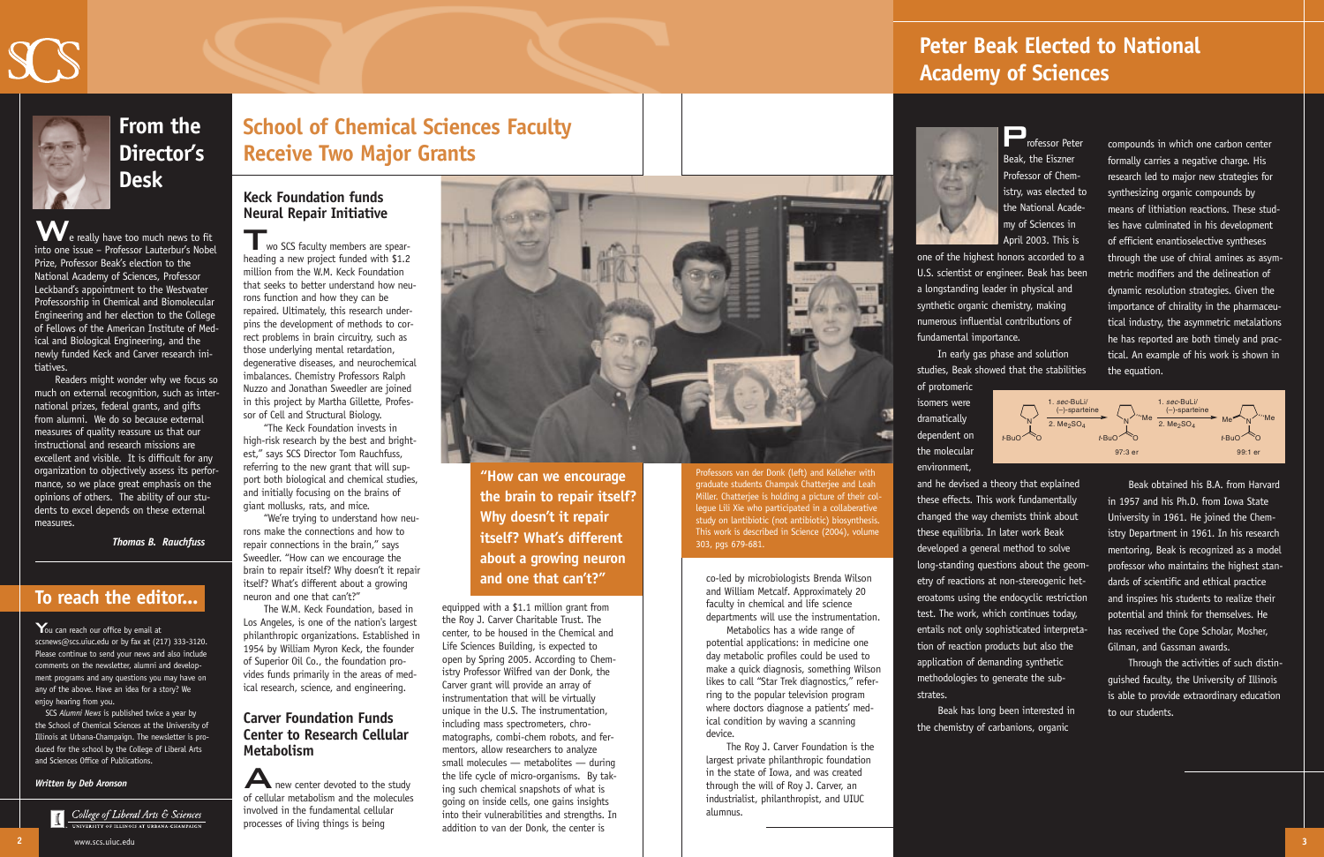

**From the Director's Desk**

e really have too much news to fit into one issue – Professor Lauterbur's Nobel Prize, Professor Beak's election to the National Academy of Sciences, Professor Leckband's appointment to the Westwater Professorship in Chemical and Biomolecular Engineering and her election to the College of Fellows of the American Institute of Medical and Biological Engineering, and the newly funded Keck and Carver research initiatives.

Readers might wonder why we focus so much on external recognition, such as international prizes, federal grants, and gifts from alumni. We do so because external measures of quality reassure us that our instructional and research missions are excellent and visible. It is difficult for any organization to objectively assess its performance, so we place great emphasis on the opinions of others. The ability of our students to excel depends on these external measures.

**T**wo SCS faculty members are spearheading a new project funded with \$1.2 million from the W.M. Keck Foundation that seeks to better understand how neurons function and how they can be repaired. Ultimately, this research underpins the development of methods to correct problems in brain circuitry, such as those underlying mental retardation, degenerative diseases, and neurochemical imbalances. Chemistry Professors Ralph Nuzzo and Jonathan Sweedler are joined in this project by Martha Gillette, Professor of Cell and Structural Biology.

*Thomas B. Rauchfuss*

### **Keck Foundation funds Neural Repair Initiative**

A new center devoted to the study of cellular metabolism and the molecules involved in the fundamental cellular processes of living things is being



"The Keck Foundation invests in high-risk research by the best and brightest," says SCS Director Tom Rauchfuss, referring to the new grant that will support both biological and chemical studies, and initially focusing on the brains of giant mollusks, rats, and mice.

"We're trying to understand how neurons make the connections and how to repair connections in the brain," says Sweedler. "How can we encourage the brain to repair itself? Why doesn't it repair itself? What's different about a growing neuron and one that can't?"

You can reach our office by email at scsnews@scs.uiuc.edu or by fax at (217) 333-3120. Please continue to send your news and also include comments on the newsletter, alumni and development programs and any questions you may have on any of the above. Have an idea for a story? We enjoy hearing from you.

The W.M. Keck Foundation, based in Los Angeles, is one of the nation's largest philanthropic organizations. Established in 1954 by William Myron Keck, the founder of Superior Oil Co., the foundation provides funds primarily in the areas of medical research, science, and engineering.

### **Carver Foundation Funds Center to Research Cellular Metabolism**

equipped with a \$1.1 million grant from the Roy J. Carver Charitable Trust. The center, to be housed in the Chemical and Life Sciences Building, is expected to open by Spring 2005. According to Chemistry Professor Wilfred van der Donk, the Carver grant will provide an array of instrumentation that will be virtually unique in the U.S. The instrumentation, including mass spectrometers, chromatographs, combi-chem robots, and fermentors, allow researchers to analyze small molecules — metabolites — during the life cycle of micro-organisms. By taking such chemical snapshots of what is going on inside cells, one gains insights into their vulnerabilities and strengths. In addition to van der Donk, the center is

**Professor Peter** Beak, the Eiszner Professor of Chemistry, was elected to the National Academy of Sciences in April 2003. This is

co-led by microbiologists Brenda Wilson and William Metcalf. Approximately 20 faculty in chemical and life science departments will use the instrumentation.

Metabolics has a wide range of potential applications: in medicine one day metabolic profiles could be used to make a quick diagnosis, something Wilson likes to call "Star Trek diagnostics," referring to the popular television program where doctors diagnose a patients' medical condition by waving a scanning device.

The Roy J. Carver Foundation is the largest private philanthropic foundation in the state of Iowa, and was created through the will of Roy J. Carver, an industrialist, philanthropist, and UIUC alumnus.



## **To reach the editor...**

SCS *Alumni News* is published twice a year by the School of Chemical Sciences at the University of Illinois at Urbana-Champaign. The newsletter is produced for the school by the College of Liberal Arts and Sciences Office of Publications.

www.scs.uiuc.edu

#### *Written by Deb Aronson*



**T** College of Liberal Arts & Sciences

compounds in which one carbon center formally carries a negative charge. His research led to major new strategies for synthesizing organic compounds by means of lithiation reactions. These studies have culminated in his development of efficient enantioselective syntheses through the use of chiral amines as asymmetric modifiers and the delineation of dynamic resolution strategies. Given the importance of chirality in the pharmaceutical industry, the asymmetric metalations he has reported are both timely and practical. An example of his work is shown in the equation.

Beak obtained his B.A. from Harvard in 1957 and his Ph.D. from Iowa State University in 1961. He joined the Chemistry Department in 1961. In his research mentoring, Beak is recognized as a model professor who maintains the highest standards of scientific and ethical practice and inspires his students to realize their potential and think for themselves. He has received the Cope Scholar, Mosher, Gilman, and Gassman awards.

Through the activities of such distinguished faculty, the University of Illinois is able to provide extraordinary education to our students.

one of the highest honors accorded to a U.S. scientist or engineer. Beak has been a longstanding leader in physical and synthetic organic chemistry, making numerous influential contributions of

fundamental importance.

In early gas phase and solution studies, Beak showed that the stabilities

of protomeric isomers were dramatically dependent on the molecular environment, strates.

and he devised a theory that explained these effects. This work fundamentally changed the way chemists think about these equilibria. In later work Beak developed a general method to solve long-standing questions about the geometry of reactions at non-stereogenic heteroatoms using the endocyclic restriction test. The work, which continues today, entails not only sophisticated interpretation of reaction products but also the application of demanding synthetic methodologies to generate the sub-

Beak has long been interested in the chemistry of carbanions, organic

# **Peter Beak Elected to National Academy of Sciences**



# **School of Chemical Sciences Faculty Receive Two Major Grants**



Professors van der Donk (left) and Kelleher with graduate students Champak Chatterjee and Leah Miller. Chatterjee is holding a picture of their collegue Lili Xie who participated in a collaberative study on lantibiotic (not antibiotic) biosynthesis. This work is described in Science (2004), volume 303, pgs 679-681.

**"How can we encourage the brain to repair itself? Why doesn't it repair itself? What's different about a growing neuron and one that can't?"**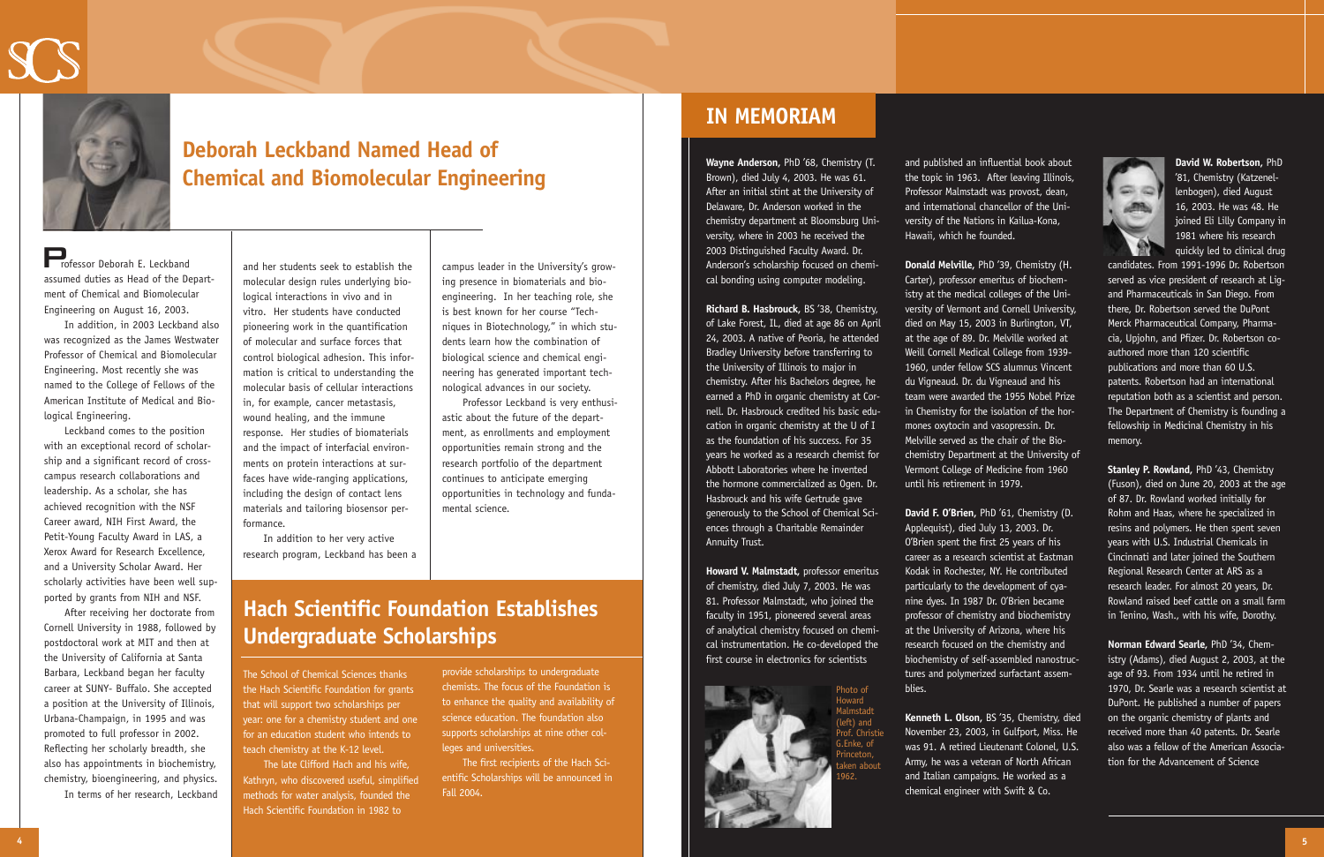Professor Deborah E. Leckband assumed duties as Head of the Department of Chemical and Biomolecular Engineering on August 16, 2003.

In addition, in 2003 Leckband also was recognized as the James Westwater Professor of Chemical and Biomolecular Engineering. Most recently she was named to the College of Fellows of the American Institute of Medical and Biological Engineering.

Leckband comes to the position with an exceptional record of scholarship and a significant record of crosscampus research collaborations and leadership. As a scholar, she has achieved recognition with the NSF Career award, NIH First Award, the Petit-Young Faculty Award in LAS, a Xerox Award for Research Excellence, and a University Scholar Award. Her scholarly activities have been well supported by grants from NIH and NSF.

After receiving her doctorate from Cornell University in 1988, followed by postdoctoral work at MIT and then at the University of California at Santa Barbara, Leckband began her faculty career at SUNY- Buffalo. She accepted a position at the University of Illinois, Urbana-Champaign, in 1995 and was promoted to full professor in 2002. Reflecting her scholarly breadth, she also has appointments in biochemistry, chemistry, bioengineering, and physics.

In terms of her research, Leckband

**Wayne Anderson,** PhD '68, Chemistry (T. Brown), died July 4, 2003. He was 61. After an initial stint at the University of Delaware, Dr. Anderson worked in the chemistry department at Bloomsburg University, where in 2003 he received the 2003 Distinguished Faculty Award. Dr. Anderson's scholarship focused on chemical bonding using computer modeling.

**Richard B. Hasbrouck,** BS '38, Chemistry, of Lake Forest, IL, died at age 86 on April 24, 2003. A native of Peoria, he attended Bradley University before transferring to the University of Illinois to major in chemistry. After his Bachelors degree, he earned a PhD in organic chemistry at Cornell. Dr. Hasbrouck credited his basic education in organic chemistry at the U of I as the foundation of his success. For 35 years he worked as a research chemist for Abbott Laboratories where he invented the hormone commercialized as Ogen. Dr. Hasbrouck and his wife Gertrude gave generously to the School of Chemical Sciences through a Charitable Remainder Annuity Trust.

**Howard V. Malmstadt,** professor emeritus of chemistry, died July 7, 2003. He was 81. Professor Malmstadt, who joined the faculty in 1951, pioneered several areas of analytical chemistry focused on chemical instrumentation. He co-developed the first course in electronics for scientists

and her students seek to establish the molecular design rules underlying biological interactions in vivo and in vitro. Her students have conducted pioneering work in the quantification of molecular and surface forces that control biological adhesion. This information is critical to understanding the molecular basis of cellular interactions in, for example, cancer metastasis, wound healing, and the immune response. Her studies of biomaterials and the impact of interfacial environments on protein interactions at surfaces have wide-ranging applications, including the design of contact lens materials and tailoring biosensor performance.

In addition to her very active research program, Leckband has been a campus leader in the University's growing presence in biomaterials and bioengineering. In her teaching role, she is best known for her course "Techniques in Biotechnology," in which students learn how the combination of biological science and chemical engineering has generated important technological advances in our society.

Professor Leckband is very enthusiastic about the future of the department, as enrollments and employment opportunities remain strong and the research portfolio of the department continues to anticipate emerging opportunities in technology and fundamental science.



# **Deborah Leckband Named Head of Chemical and Biomolecular Engineering**

and published an influential book about the topic in 1963. After leaving Illinois, Professor Malmstadt was provost, dean, and international chancellor of the University of the Nations in Kailua-Kona,



Hawaii, which he founded.



**Donald Melville,** PhD '39, Chemistry (H. Carter), professor emeritus of biochemistry at the medical colleges of the University of Vermont and Cornell University, died on May 15, 2003 in Burlington, VT, at the age of 89. Dr. Melville worked at Weill Cornell Medical College from 1939- 1960, under fellow SCS alumnus Vincent du Vigneaud. Dr. du Vigneaud and his team were awarded the 1955 Nobel Prize in Chemistry for the isolation of the hormones oxytocin and vasopressin. Dr. Melville served as the chair of the Biochemistry Department at the University of Vermont College of Medicine from 1960 until his retirement in 1979.

**David F. O'Brien,** PhD '61, Chemistry (D. Applequist), died July 13, 2003. Dr. O'Brien spent the first 25 years of his career as a research scientist at Eastman Kodak in Rochester, NY. He contributed particularly to the development of cyanine dyes. In 1987 Dr. O'Brien became professor of chemistry and biochemistry at the University of Arizona, where his research focused on the chemistry and biochemistry of self-assembled nanostructures and polymerized surfactant assem-

blies.

**Kenneth L. Olson,** BS '35, Chemistry, died November 23, 2003, in Gulfport, Miss. He was 91. A retired Lieutenant Colonel, U.S. Army, he was a veteran of North African and Italian campaigns. He worked as a chemical engineer with Swift & Co.

**David W. Robertson,** PhD '81, Chemistry (Katzenellenbogen), died August 16, 2003. He was 48. He joined Eli Lilly Company in 1981 where his research quickly led to clinical drug

candidates. From 1991-1996 Dr. Robertson served as vice president of research at Ligand Pharmaceuticals in San Diego. From there, Dr. Robertson served the DuPont Merck Pharmaceutical Company, Pharmacia, Upjohn, and Pfizer. Dr. Robertson coauthored more than 120 scientific publications and more than 60 U.S. patents. Robertson had an international reputation both as a scientist and person. The Department of Chemistry is founding a fellowship in Medicinal Chemistry in his memory.

**Stanley P. Rowland,** PhD '43, Chemistry (Fuson), died on June 20, 2003 at the age of 87. Dr. Rowland worked initially for Rohm and Haas, where he specialized in resins and polymers. He then spent seven years with U.S. Industrial Chemicals in Cincinnati and later joined the Southern Regional Research Center at ARS as a research leader. For almost 20 years, Dr. Rowland raised beef cattle on a small farm in Tenino, Wash., with his wife, Dorothy.

**Norman Edward Searle,** PhD '34, Chemistry (Adams), died August 2, 2003, at the age of 93. From 1934 until he retired in 1970, Dr. Searle was a research scientist at DuPont. He published a number of papers on the organic chemistry of plants and received more than 40 patents. Dr. Searle also was a fellow of the American Association for the Advancement of Science

# **IN MEMORIAM**

# **Hach Scientific Foundation Establishes Undergraduate Scholarships**

The School of Chemical Sciences thanks the Hach Scientific Foundation for grants that will support two scholarships per year: one for a chemistry student and one for an education student who intends to teach chemistry at the K-12 level.

The late Clifford Hach and his wife, Kathryn, who discovered useful, simplified methods for water analysis, founded the Hach Scientific Foundation in 1982 to

provide scholarships to undergraduate chemists. The focus of the Foundation is to enhance the quality and availability of science education. The foundation also supports scholarships at nine other colleges and universities.

The first recipients of the Hach Scientific Scholarships will be announced in Fall 2004.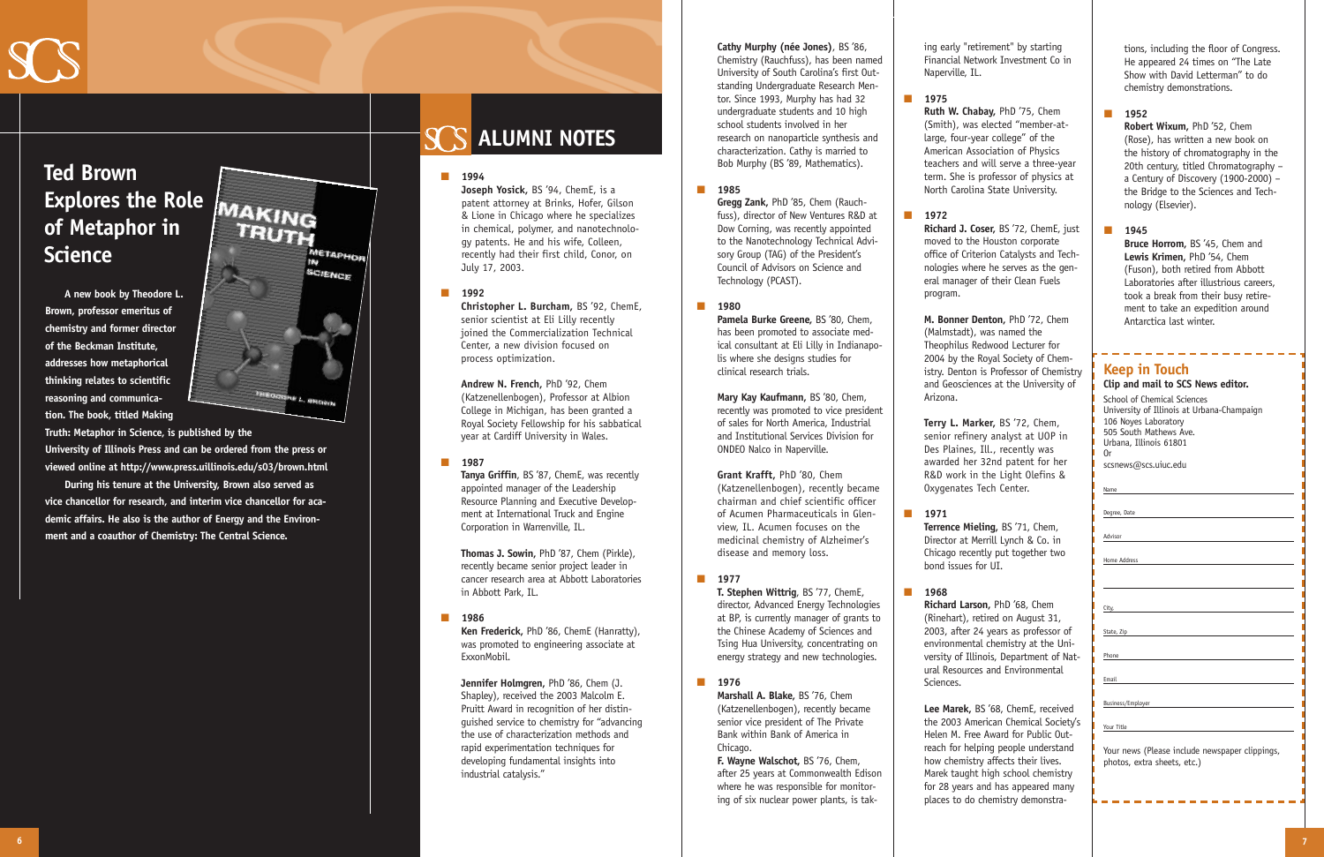## **Keep in Touch**

|  |  |  | Clip and mail to SCS News editor. |
|--|--|--|-----------------------------------|
|  |  |  |                                   |

School of Chemical Sciences University of Illinois at Urbana-Champaign 106 Noyes Laboratory 505 South Mathews Ave. Urbana, Illinois 61801 Or scsnews@scs.uiuc.edu

| ۰.<br>۰.<br>٠<br>۹<br>÷<br>٠<br>× |  |
|-----------------------------------|--|

Degree, Date

Advisor

Home Address

City,

State, Zip

Phone

Email

Business/Employer

Your Title

Your news (Please include newspaper clippings, photos, extra sheets, etc.)

### ■ **1994**

**Joseph Yosick,** BS '94, ChemE, is a patent attorney at Brinks, Hofer, Gilson & Lione in Chicago where he specializes in chemical, polymer, and nanotechnology patents. He and his wife, Colleen, recently had their first child, Conor, on July 17, 2003.

### ■ **1992**

**Christopher L. Burcham,** BS '92, ChemE, senior scientist at Eli Lilly recently joined the Commercialization Technical Center, a new division focused on process optimization.

**Andrew N. French,** PhD '92, Chem (Katzenellenbogen), Professor at Albion College in Michigan, has been granted a Royal Society Fellowship for his sabbatical year at Cardiff University in Wales.

### ■ **1987**

**Tanya Griffin**, BS '87, ChemE, was recently appointed manager of the Leadership Resource Planning and Executive Development at International Truck and Engine Corporation in Warrenville, IL.

**Thomas J. Sowin,** PhD '87, Chem (Pirkle), recently became senior project leader in cancer research area at Abbott Laboratories in Abbott Park, IL.

#### ■ **1986**

**Ken Frederick,** PhD '86, ChemE (Hanratty), was promoted to engineering associate at ExxonMobil.

> **Marshall A. Blake,** BS '76, Chem (Katzenellenbogen), recently became senior vice president of The Private Bank within Bank of America in Chicago.

**Jennifer Holmgren,** PhD '86, Chem (J. Shapley), received the 2003 Malcolm E. Pruitt Award in recognition of her distinguished service to chemistry for "advancing the use of characterization methods and rapid experimentation techniques for developing fundamental insights into industrial catalysis."

**Cathy Murphy (née Jones)**, BS '86, Chemistry (Rauchfuss), has been named University of South Carolina's first Outstanding Undergraduate Research Mentor. Since 1993, Murphy has had 32 undergraduate students and 10 high school students involved in her research on nanoparticle synthesis and characterization. Cathy is married to

Bob Murphy (BS '89, Mathematics).

#### ■ **1985**

**Gregg Zank,** PhD '85, Chem (Rauchfuss), director of New Ventures R&D at Dow Corning, was recently appointed to the Nanotechnology Technical Advisory Group (TAG) of the President's Council of Advisors on Science and Technology (PCAST).

### ■ **1980**

**Pamela Burke Greene,** BS '80, Chem, has been promoted to associate medical consultant at Eli Lilly in Indianapolis where she designs studies for clinical research trials.

**Mary Kay Kaufmann,** BS '80, Chem, recently was promoted to vice president of sales for North America, Industrial and Institutional Services Division for ONDEO Nalco in Naperville.

**Grant Krafft,** PhD '80, Chem (Katzenellenbogen), recently became chairman and chief scientific officer of Acumen Pharmaceuticals in Glenview, IL. Acumen focuses on the medicinal chemistry of Alzheimer's disease and memory loss.

### ■ **1977**

**T. Stephen Wittrig**, BS '77, ChemE, director, Advanced Energy Technologies at BP, is currently manager of grants to the Chinese Academy of Sciences and Tsing Hua University, concentrating on energy strategy and new technologies.

■ **1976**

**F. Wayne Walschot,** BS '76, Chem, after 25 years at Commonwealth Edison where he was responsible for monitoring of six nuclear power plants, is taking early "retirement" by starting Financial Network Investment Co in

Naperville, IL.

■ **1975 Ruth W. Chabay,** PhD '75, Chem (Smith), was elected "member-atlarge, four-year college" of the American Association of Physics teachers and will serve a three-year term. She is professor of physics at North Carolina State University.

■ **1972**

**Richard J. Coser,** BS '72, ChemE, just moved to the Houston corporate office of Criterion Catalysts and Technologies where he serves as the general manager of their Clean Fuels

program.

**M. Bonner Denton,** PhD '72, Chem (Malmstadt), was named the Theophilus Redwood Lecturer for 2004 by the Royal Society of Chemistry. Denton is Professor of Chemistry and Geosciences at the University of

Arizona.

**Terry L. Marker,** BS '72, Chem, senior refinery analyst at UOP in Des Plaines, Ill., recently was awarded her 32nd patent for her R&D work in the Light Olefins & Oxygenates Tech Center.

■ **1971 Terrence Mieling,** BS '71, Chem, Director at Merrill Lynch & Co. in Chicago recently put together two bond issues for UI.

■ **1968**

**Richard Larson,** PhD '68, Chem (Rinehart), retired on August 31, 2003, after 24 years as professor of environmental chemistry at the University of Illinois, Department of Natural Resources and Environmental

Sciences.

**Lee Marek,** BS '68, ChemE, received the 2003 American Chemical Society's Helen M. Free Award for Public Outreach for helping people understand how chemistry affects their lives. Marek taught high school chemistry for 28 years and has appeared many places to do chemistry demonstra-

**A new book by Theodore L. Brown, professor emeritus of chemistry and former director of the Beckman Institute, addresses how metaphorical thinking relates to scientific reasoning and communication. The book, titled Making**



**Truth: Metaphor in Science, is published by the University of Illinois Press and can be ordered from the press or viewed online at http://www.press.uillinois.edu/s03/brown.html**

**During his tenure at the University, Brown also served as vice chancellor for research, and interim vice chancellor for academic affairs. He also is the author of Energy and the Environment and a coauthor of Chemistry: The Central Science.**

# **ALUMNI NOTES**

tions, including the floor of Congress. He appeared 24 times on "The Late Show with David Letterman" to do chemistry demonstrations.

■ **1952**

**Robert Wixum,** PhD '52, Chem (Rose), has written a new book on the history of chromatography in the 20th century, titled Chromatography – a Century of Discovery (1900-2000) – the Bridge to the Sciences and Technology (Elsevier).

■ **1945 Bruce Horrom,** BS '45, Chem and **Lewis Krimen,** PhD '54, Chem (Fuson), both retired from Abbott Laboratories after illustrious careers, took a break from their busy retirement to take an expedition around Antarctica last winter.



# **Ted Brown Explores the Role of Metaphor in Science**